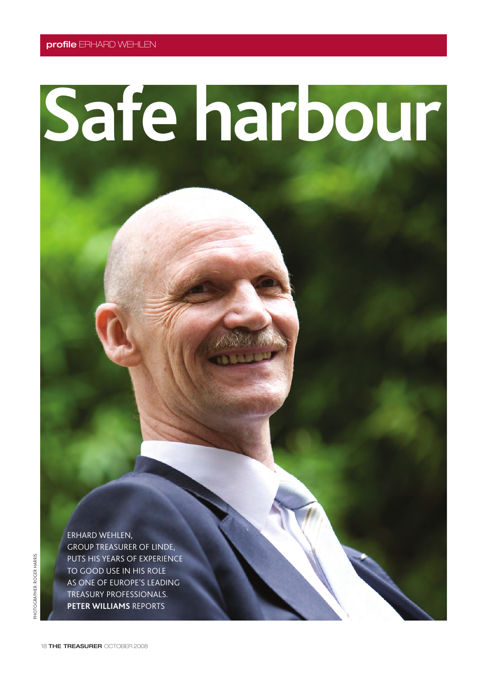## **Safe harbour**

ERHARD WEHLEN, GROUP TREASURER OF LINDE, PUTS HIS YEARS OF EXPERIENCE TO GOOD USE IN HIS ROLE AS ONE OF EUROPE'S LEADING TREASURY PROFESSIONALS. **PETER WILLIAMS** REPORTS

18 **THE TREASURER** OCTOBER 2008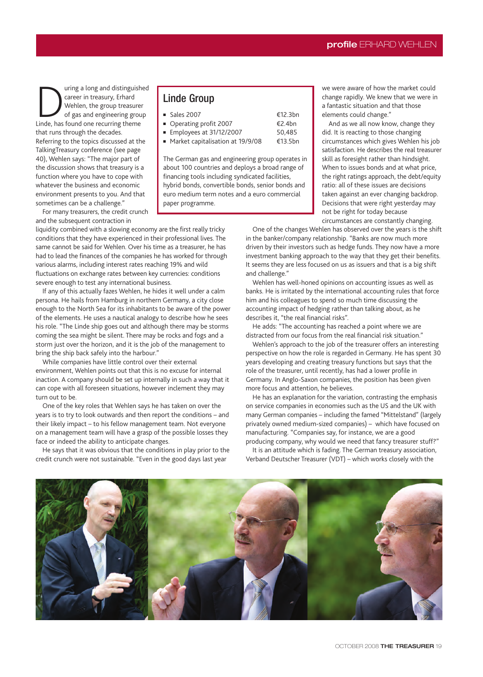**During a long and distinguished**<br>
career in treasury, Erhard<br>
Wehlen, the group treasurer<br>
Linde, has found one recurring theme career in treasury, Erhard Wehlen, the group treasurer of gas and engineering group that runs through the decades. Referring to the topics discussed at the TalkingTreasury conference (see page 40), Wehlen says: "The major part of the discussion shows that treasury is a function where you have to cope with whatever the business and economic environment presents to you. And that sometimes can be a challenge."

For many treasurers, the credit crunch and the subsequent contraction in

liquidity combined with a slowing economy are the first really tricky conditions that they have experienced in their professional lives. The same cannot be said for Wehlen. Over his time as a treasurer, he has had to lead the finances of the companies he has worked for through various alarms, including interest rates reaching 19% and wild fluctuations on exchange rates between key currencies: conditions severe enough to test any international business.

If any of this actually fazes Wehlen, he hides it well under a calm persona. He hails from Hamburg in northern Germany, a city close enough to the North Sea for its inhabitants to be aware of the power of the elements. He uses a nautical analogy to describe how he sees his role. "The Linde ship goes out and although there may be storms coming the sea might be silent. There may be rocks and fogs and a storm just over the horizon, and it is the job of the management to bring the ship back safely into the harbour."

While companies have little control over their external environment, Wehlen points out that this is no excuse for internal inaction. A company should be set up internally in such a way that it can cope with all foreseen situations, however inclement they may turn out to be.

One of the key roles that Wehlen says he has taken on over the years is to try to look outwards and then report the conditions – and their likely impact – to his fellow management team. Not everyone on a management team will have a grasp of the possible losses they face or indeed the ability to anticipate changes.

He says that it was obvious that the conditions in play prior to the credit crunch were not sustainable. "Even in the good days last year

## Linde Group

| $\blacksquare$ Sales 2007 | €12.3bn |
|---------------------------|---------|
| ■ Operating profit 2007   | €2.4bn  |
| Employees at 31/12/2007   | 50.485  |
|                           |         |

■ Market capitalisation at 19/9/08 €13.5bn

The German gas and engineering group operates in about 100 countries and deploys a broad range of financing tools including syndicated facilities, hybrid bonds, convertible bonds, senior bonds and euro medium term notes and a euro commercial paper programme.

we were aware of how the market could change rapidly. We knew that we were in a fantastic situation and that those elements could change."

And as we all now know, change they did. It is reacting to those changing circumstances which gives Wehlen his job satisfaction. He describes the real treasurer skill as foresight rather than hindsight. When to issues bonds and at what price, the right ratings approach, the debt/equity ratio: all of these issues are decisions taken against an ever changing backdrop. Decisions that were right yesterday may not be right for today because circumstances are constantly changing.

One of the changes Wehlen has observed over the years is the shift in the banker/company relationship. "Banks are now much more driven by their investors such as hedge funds. They now have a more investment banking approach to the way that they get their benefits. It seems they are less focused on us as issuers and that is a big shift and challenge."

Wehlen has well-honed opinions on accounting issues as well as banks. He is irritated by the international accounting rules that force him and his colleagues to spend so much time discussing the accounting impact of hedging rather than talking about, as he describes it, "the real financial risks".

He adds: "The accounting has reached a point where we are distracted from our focus from the real financial risk situation."

Wehlen's approach to the job of the treasurer offers an interesting perspective on how the role is regarded in Germany. He has spent 30 years developing and creating treasury functions but says that the role of the treasurer, until recently, has had a lower profile in Germany. In Anglo-Saxon companies, the position has been given more focus and attention, he believes.

He has an explanation for the variation, contrasting the emphasis on service companies in economies such as the US and the UK with many German companies – including the famed "Mittelstand" (largely privately owned medium-sized companies) – which have focused on manufacturing. "Companies say, for instance, we are a good producing company, why would we need that fancy treasurer stuff?"

It is an attitude which is fading. The German treasury association, Verband Deutscher Treasurer (VDT) – which works closely with the